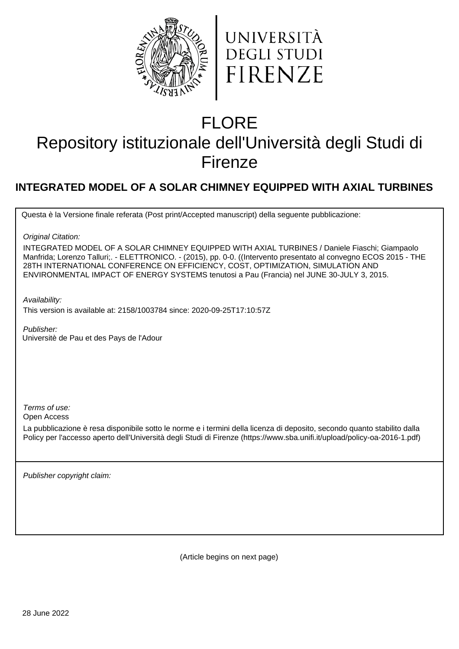



# FLORE

# Repository istituzionale dell'Università degli Studi di Firenze

## **INTEGRATED MODEL OF A SOLAR CHIMNEY EQUIPPED WITH AXIAL TURBINES**

Questa è la Versione finale referata (Post print/Accepted manuscript) della seguente pubblicazione:

Original Citation:

INTEGRATED MODEL OF A SOLAR CHIMNEY EQUIPPED WITH AXIAL TURBINES / Daniele Fiaschi; Giampaolo Manfrida; Lorenzo Talluri;. - ELETTRONICO. - (2015), pp. 0-0. ((Intervento presentato al convegno ECOS 2015 - THE 28TH INTERNATIONAL CONFERENCE ON EFFICIENCY, COST, OPTIMIZATION, SIMULATION AND ENVIRONMENTAL IMPACT OF ENERGY SYSTEMS tenutosi a Pau (Francia) nel JUNE 30-JULY 3, 2015.

Availability:

This version is available at: 2158/1003784 since: 2020-09-25T17:10:57Z

Publisher: Universitè de Pau et des Pays de l'Adour

Terms of use:

Open Access

La pubblicazione è resa disponibile sotto le norme e i termini della licenza di deposito, secondo quanto stabilito dalla Policy per l'accesso aperto dell'Università degli Studi di Firenze (https://www.sba.unifi.it/upload/policy-oa-2016-1.pdf)

Publisher copyright claim:

(Article begins on next page)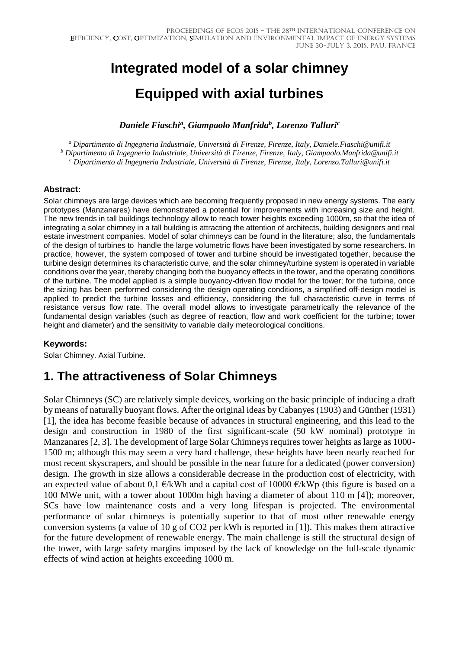# **Integrated model of a solar chimney Equipped with axial turbines**

*Daniele Fiaschi<sup>a</sup> , Giampaolo Manfrida<sup>b</sup> , Lorenzo Talluri<sup>c</sup>*

*<sup>a</sup> Dipartimento di Ingegneria Industriale, Università di Firenze, Firenze, Italy, Daniele.Fiaschi@unifi.it <sup>b</sup> Dipartimento di Ingegneria Industriale, Università di Firenze, Firenze, Italy, Giampaolo.Manfrida@unifi.it <sup>c</sup> Dipartimento di Ingegneria Industriale, Università di Firenze, Firenze, Italy, Lorenzo.Talluri@unifi.it*

#### **Abstract:**

Solar chimneys are large devices which are becoming frequently proposed in new energy systems. The early prototypes (Manzanares) have demonstrated a potential for improvements with increasing size and height. The new trends in tall buildings technology allow to reach tower heights exceeding 1000m, so that the idea of integrating a solar chimney in a tall building is attracting the attention of architects, building designers and real estate investment companies. Model of solar chimneys can be found in the literature; also, the fundamentals of the design of turbines to handle the large volumetric flows have been investigated by some researchers. In practice, however, the system composed of tower and turbine should be investigated together, because the turbine design determines its characteristic curve, and the solar chimney/turbine system is operated in variable conditions over the year, thereby changing both the buoyancy effects in the tower, and the operating conditions of the turbine. The model applied is a simple buoyancy-driven flow model for the tower; for the turbine, once the sizing has been performed considering the design operating conditions, a simplified off-design model is applied to predict the turbine losses and efficiency, considering the full characteristic curve in terms of resistance versus flow rate. The overall model allows to investigate parametrically the relevance of the fundamental design variables (such as degree of reaction, flow and work coefficient for the turbine; tower height and diameter) and the sensitivity to variable daily meteorological conditions.

#### **Keywords:**

Solar Chimney. Axial Turbine.

## **1. The attractiveness of Solar Chimneys**

Solar Chimneys (SC) are relatively simple devices, working on the basic principle of inducing a draft by means of naturally buoyant flows. After the original ideas by Cabanyes (1903) and Günther (1931) [1], the idea has become feasible because of advances in structural engineering, and this lead to the design and construction in 1980 of the first significant-scale (50 kW nominal) prototype in Manzanares [2, 3]. The development of large Solar Chimneys requires tower heights as large as 1000- 1500 m; although this may seem a very hard challenge, these heights have been nearly reached for most recent skyscrapers, and should be possible in the near future for a dedicated (power conversion) design. The growth in size allows a considerable decrease in the production cost of electricity, with an expected value of about 0,1  $\epsilon/kWh$  and a capital cost of 10000  $\epsilon/kWp$  (this figure is based on a 100 MWe unit, with a tower about 1000m high having a diameter of about 110 m [4]); moreover, SCs have low maintenance costs and a very long lifespan is projected. The environmental performance of solar chimneys is potentially superior to that of most other renewable energy conversion systems (a value of 10 g of CO2 per kWh is reported in [1]). This makes them attractive for the future development of renewable energy. The main challenge is still the structural design of the tower, with large safety margins imposed by the lack of knowledge on the full-scale dynamic effects of wind action at heights exceeding 1000 m.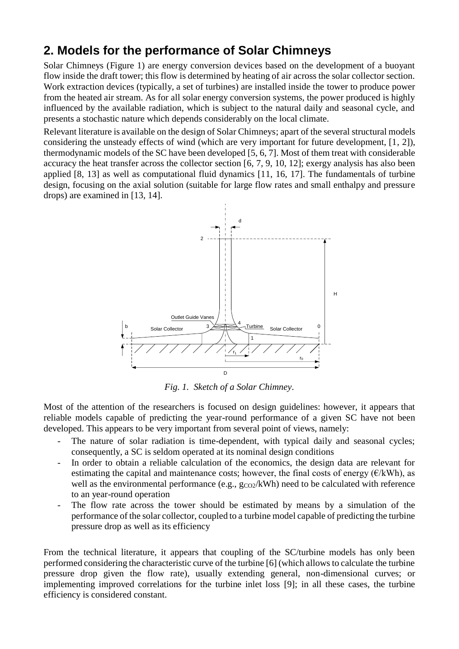## **2. Models for the performance of Solar Chimneys**

Solar Chimneys (Figure 1) are energy conversion devices based on the development of a buoyant flow inside the draft tower; this flow is determined by heating of air across the solar collector section. Work extraction devices (typically, a set of turbines) are installed inside the tower to produce power from the heated air stream. As for all solar energy conversion systems, the power produced is highly influenced by the available radiation, which is subject to the natural daily and seasonal cycle, and presents a stochastic nature which depends considerably on the local climate.

Relevant literature is available on the design of Solar Chimneys; apart of the several structural models considering the unsteady effects of wind (which are very important for future development, [1, 2]), thermodynamic models of the SC have been developed [5, 6, 7]. Most of them treat with considerable accuracy the heat transfer across the collector section [6, 7, 9, 10, 12]; exergy analysis has also been applied [8, 13] as well as computational fluid dynamics [11, 16, 17]. The fundamentals of turbine design, focusing on the axial solution (suitable for large flow rates and small enthalpy and pressure drops) are examined in [13, 14].



*Fig. 1. Sketch of a Solar Chimney.*

Most of the attention of the researchers is focused on design guidelines: however, it appears that reliable models capable of predicting the year-round performance of a given SC have not been developed. This appears to be very important from several point of views, namely:

- The nature of solar radiation is time-dependent, with typical daily and seasonal cycles; consequently, a SC is seldom operated at its nominal design conditions
- In order to obtain a reliable calculation of the economics, the design data are relevant for estimating the capital and maintenance costs; however, the final costs of energy ( $\epsilon/kWh$ ), as well as the environmental performance (e.g.,  $g_{CO2}/kWh$ ) need to be calculated with reference to an year-round operation
- The flow rate across the tower should be estimated by means by a simulation of the performance of the solar collector, coupled to a turbine model capable of predicting the turbine pressure drop as well as its efficiency

From the technical literature, it appears that coupling of the SC/turbine models has only been performed considering the characteristic curve of the turbine [6] (which allows to calculate the turbine pressure drop given the flow rate), usually extending general, non-dimensional curves; or implementing improved correlations for the turbine inlet loss [9]; in all these cases, the turbine efficiency is considered constant.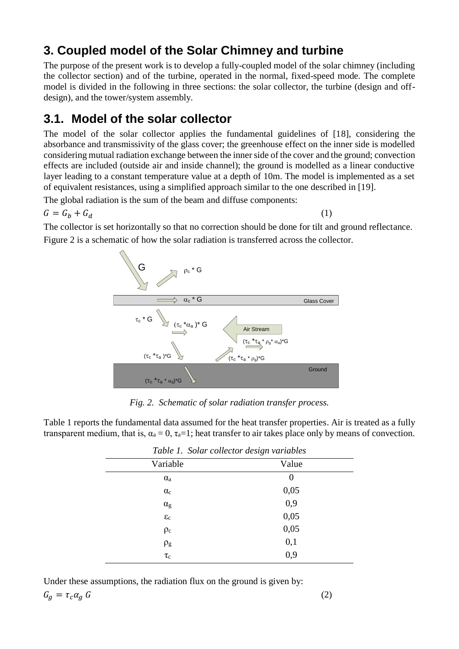## **3. Coupled model of the Solar Chimney and turbine**

The purpose of the present work is to develop a fully-coupled model of the solar chimney (including the collector section) and of the turbine, operated in the normal, fixed-speed mode. The complete model is divided in the following in three sections: the solar collector, the turbine (design and offdesign), and the tower/system assembly.

## **3.1. Model of the solar collector**

The model of the solar collector applies the fundamental guidelines of [18], considering the absorbance and transmissivity of the glass cover; the greenhouse effect on the inner side is modelled considering mutual radiation exchange between the inner side of the cover and the ground; convection effects are included (outside air and inside channel); the ground is modelled as a linear conductive layer leading to a constant temperature value at a depth of 10m. The model is implemented as a set of equivalent resistances, using a simplified approach similar to the one described in [19].

The global radiation is the sum of the beam and diffuse components:

$$
G = G_b + G_d \tag{1}
$$

The collector is set horizontally so that no correction should be done for tilt and ground reflectance. Figure 2 is a schematic of how the solar radiation is transferred across the collector.



*Fig. 2. Schematic of solar radiation transfer process.*

Table 1 reports the fundamental data assumed for the heat transfer properties. Air is treated as a fully transparent medium, that is,  $\alpha_a = 0$ ,  $\tau_a = 1$ ; heat transfer to air takes place only by means of convection.

| Table 1. Solar collector design variables |          |
|-------------------------------------------|----------|
| Variable                                  | Value    |
| $\alpha$ <sub>a</sub>                     | $\theta$ |
| $\alpha_c$                                | 0,05     |
| $\alpha_{\rm g}$                          | 0,9      |
| $\epsilon_{\rm c}$                        | 0,05     |
| $\rho_c$                                  | 0,05     |
| $\rho_g$                                  | 0,1      |
| $\tau_{\rm c}$                            | 0,9      |

Under these assumptions, the radiation flux on the ground is given by:

$$
G_g = \tau_c \alpha_g G \tag{2}
$$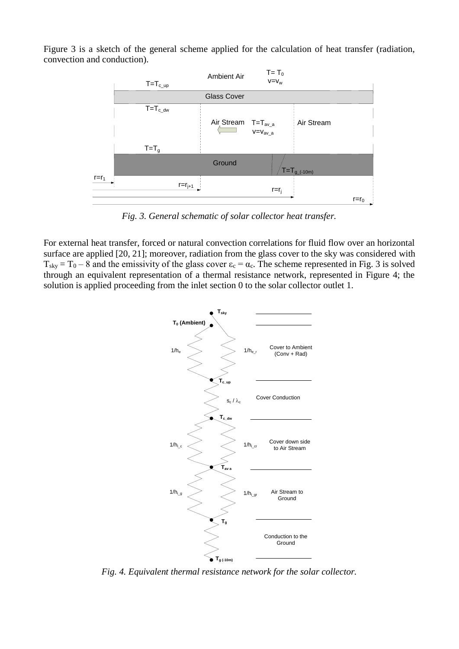Figure 3 is a sketch of the general scheme applied for the calculation of heat transfer (radiation, convection and conduction).



*Fig. 3. General schematic of solar collector heat transfer.*

For external heat transfer, forced or natural convection correlations for fluid flow over an horizontal surface are applied [20, 21]; moreover, radiation from the glass cover to the sky was considered with  $T_{sky} = T_0 - 8$  and the emissivity of the glass cover  $\epsilon_c = \alpha_c$ . The scheme represented in Fig. 3 is solved through an equivalent representation of a thermal resistance network, represented in Figure 4; the solution is applied proceeding from the inlet section 0 to the solar collector outlet 1.



*Fig. 4. Equivalent thermal resistance network for the solar collector.*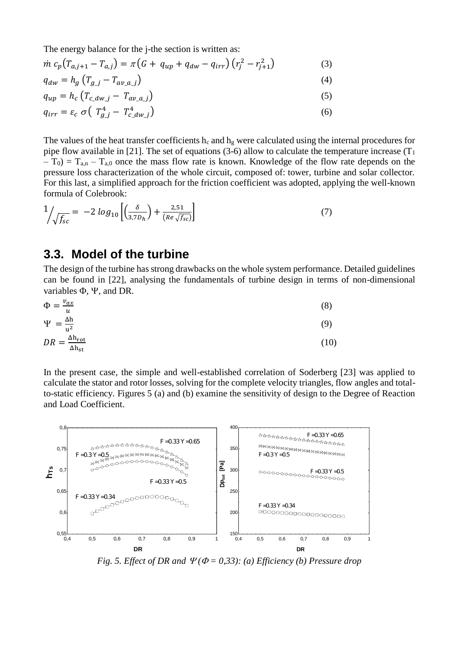The energy balance for the j-the section is written as:

$$
\dot{m} c_p (T_{a,j+1} - T_{a,j}) = \pi (G + q_{up} + q_{dw} - q_{irr}) (r_j^2 - r_{j+1}^2)
$$
\n(3)

$$
q_{dw} = h_g \left( T_{g\_j} - T_{av\_a\_j} \right) \tag{4}
$$

$$
q_{up} = h_c \left( T_{c\_dw\_j} - T_{av\_a\_j} \right) \tag{5}
$$

$$
q_{irr} = \varepsilon_c \ \sigma \left( \ T_{g\_j}^4 - T_{c\_dw\_j}^4 \right) \tag{6}
$$

The values of the heat transfer coefficients  $h_c$  and  $h_g$  were calculated using the internal procedures for pipe flow available in [21]. The set of equations (3-6) allow to calculate the temperature increase ( $T_1$ )  $(T_0) = T_{a,n} - T_{a,0}$  once the mass flow rate is known. Knowledge of the flow rate depends on the pressure loss characterization of the whole circuit, composed of: tower, turbine and solar collector. For this last, a simplified approach for the friction coefficient was adopted, applying the well-known formula of Colebrook:

$$
\frac{1}{\sqrt{f_{sc}}} = -2\log_{10}\left[\left(\frac{\delta}{3,7D_h}\right) + \frac{2,51}{(Re\sqrt{f_{sc}})}\right]
$$
\n(7)

### **3.3. Model of the turbine**

The design of the turbine has strong drawbacks on the whole system performance. Detailed guidelines can be found in [22], analysing the fundamentals of turbine design in terms of non-dimensional variables  $\Phi$ ,  $\Psi$ , and DR.

$$
\Phi = \frac{v_{ax}}{u}
$$
\n
$$
\Psi = \frac{\Delta h}{u^2}
$$
\n
$$
DR = \frac{\Delta h_{rot}}{\Delta h_{st}}
$$
\n(10)

In the present case, the simple and well-established correlation of Soderberg [23] was applied to calculate the stator and rotor losses, solving for the complete velocity triangles, flow angles and totalto-static efficiency. Figures 5 (a) and (b) examine the sensitivity of design to the Degree of Reaction and Load Coefficient.



*Fig. 5. Effect of DR and*  $\Psi$ ( $\Phi$  = 0,33): (a) *Efficiency* (b) *Pressure drop*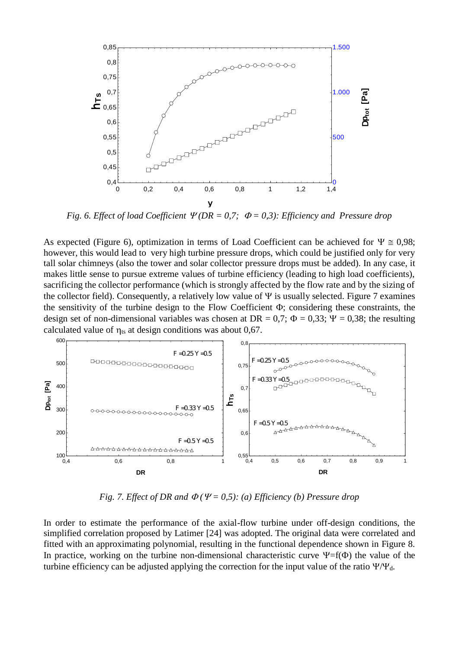

*Fig. 6. Effect of load Coefficient*  $\mathcal{V}(DR = 0.7; \Phi = 0.3)$ *: Efficiency and Pressure drop* 

As expected (Figure 6), optimization in terms of Load Coefficient can be achieved for  $\Psi \cong 0.98$ ; however, this would lead to very high turbine pressure drops, which could be justified only for very tall solar chimneys (also the tower and solar collector pressure drops must be added). In any case, it makes little sense to pursue extreme values of turbine efficiency (leading to high load coefficients), sacrificing the collector performance (which is strongly affected by the flow rate and by the sizing of the collector field). Consequently, a relatively low value of  $\Psi$  is usually selected. Figure 7 examines the sensitivity of the turbine design to the Flow Coefficient  $\Phi$ ; considering these constraints, the design set of non-dimensional variables was chosen at DR = 0,7;  $\Phi$  = 0,33;  $\Psi$  = 0,38; the resulting calculated value of  $\eta_{ts}$  at design conditions was about 0,67.



*Fig. 7. Effect of DR and*  $\Phi$  *(Y = 0,5): (a) Efficiency (b) Pressure drop* 

In order to estimate the performance of the axial-flow turbine under off-design conditions, the simplified correlation proposed by Latimer [24] was adopted. The original data were correlated and fitted with an approximating polynomial, resulting in the functional dependence shown in Figure 8. In practice, working on the turbine non-dimensional characteristic curve  $\Psi = f(\Phi)$  the value of the turbine efficiency can be adjusted applying the correction for the input value of the ratio  $\Psi/\Psi_d$ .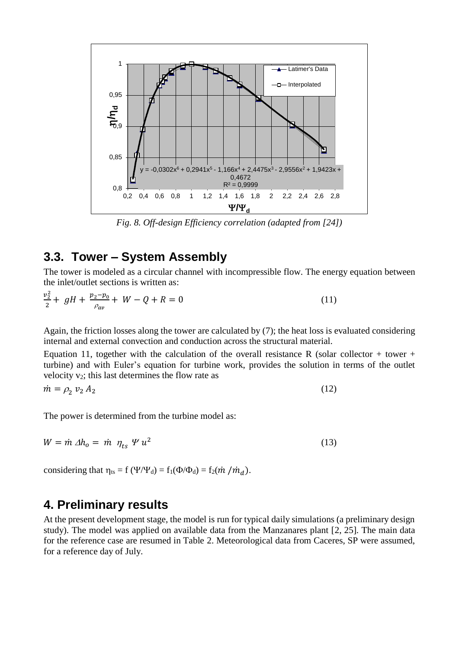

*Fig. 8. Off-design Efficiency correlation (adapted from [24])*

## **3.3. Tower – System Assembly**

The tower is modeled as a circular channel with incompressible flow. The energy equation between the inlet/outlet sections is written as:

$$
\frac{v_2^2}{2} + gH + \frac{p_2 - p_0}{\rho_{av}} + W - Q + R = 0 \tag{11}
$$

Again, the friction losses along the tower are calculated by (7); the heat loss is evaluated considering internal and external convection and conduction across the structural material.

Equation 11, together with the calculation of the overall resistance R (solar collector + tower + turbine) and with Euler's equation for turbine work, provides the solution in terms of the outlet velocity  $v_2$ ; this last determines the flow rate as

 $\dot{m} = \rho_2 v_2 A_2$  $v_2 A_2$  (12)

The power is determined from the turbine model as:

$$
W = \dot{m} \,\Delta h_o = \dot{m} \,\eta_{ts} \,\Psi \,u^2 \tag{13}
$$

considering that  $\eta_{ts} = f (\Psi/\Psi_d) = f_1(\Phi/\Phi_d) = f_2(\dot{m}/\dot{m}_d)$ .

### **4. Preliminary results**

At the present development stage, the model is run for typical daily simulations (a preliminary design study). The model was applied on available data from the Manzanares plant [2, 25]. The main data for the reference case are resumed in Table 2. Meteorological data from Caceres, SP were assumed, for a reference day of July.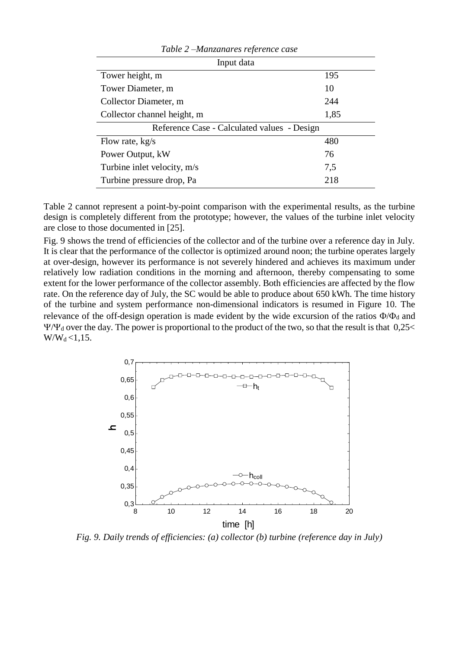| Input data                                  |      |  |
|---------------------------------------------|------|--|
| Tower height, m                             | 195  |  |
| Tower Diameter, m                           | 10   |  |
| Collector Diameter, m                       | 244  |  |
| Collector channel height, m                 | 1,85 |  |
| Reference Case - Calculated values - Design |      |  |
| Flow rate, $kg/s$                           | 480  |  |
| Power Output, kW                            | 76   |  |
| Turbine inlet velocity, m/s                 | 7,5  |  |
| Turbine pressure drop, Pa                   | 218  |  |
|                                             |      |  |

*Table 2 –Manzanares reference case*

Table 2 cannot represent a point-by-point comparison with the experimental results, as the turbine design is completely different from the prototype; however, the values of the turbine inlet velocity are close to those documented in [25].

Fig. 9 shows the trend of efficiencies of the collector and of the turbine over a reference day in July. It is clear that the performance of the collector is optimized around noon; the turbine operates largely at over-design, however its performance is not severely hindered and achieves its maximum under relatively low radiation conditions in the morning and afternoon, thereby compensating to some extent for the lower performance of the collector assembly. Both efficiencies are affected by the flow rate. On the reference day of July, the SC would be able to produce about 650 kWh. The time history of the turbine and system performance non-dimensional indicators is resumed in Figure 10. The relevance of the off-design operation is made evident by the wide excursion of the ratios  $\Phi/\Phi_d$  and  $\Psi/\Psi_d$  over the day. The power is proportional to the product of the two, so that the result is that 0,25<  $W/W_d < 1,15$ .



*Fig. 9. Daily trends of efficiencies: (a) collector (b) turbine (reference day in July)*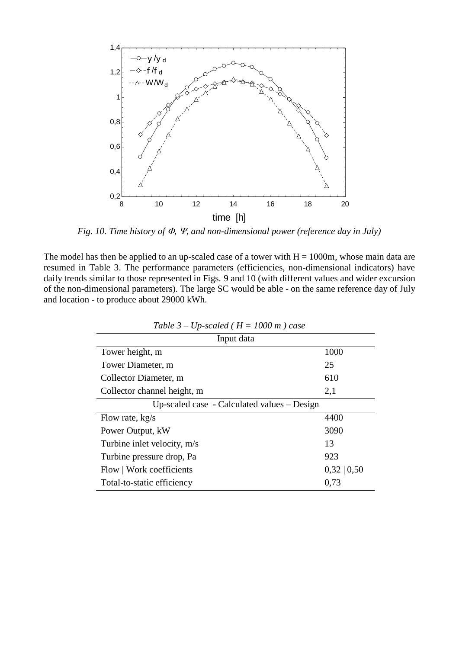

*Fig. 10. Time history of*  $\Phi$ *,*  $\Psi$ *, and non-dimensional power (reference day in July)* 

The model has then be applied to an up-scaled case of a tower with  $H = 1000$ m, whose main data are resumed in Table 3. The performance parameters (efficiencies, non-dimensional indicators) have daily trends similar to those represented in Figs. 9 and 10 (with different values and wider excursion of the non-dimensional parameters). The large SC would be able - on the same reference day of July and location - to produce about 29000 kWh.

| Input data                                    |                  |  |
|-----------------------------------------------|------------------|--|
| Tower height, m                               | 1000             |  |
| Tower Diameter, m                             | 25               |  |
| Collector Diameter, m                         | 610              |  |
| Collector channel height, m                   | 2,1              |  |
| Up-scaled case - Calculated values $-$ Design |                  |  |
| Flow rate, kg/s                               | 4400             |  |
| Power Output, kW                              | 3090             |  |
| Turbine inlet velocity, m/s                   | 13               |  |
| Turbine pressure drop, Pa                     | 923              |  |
| Flow   Work coefficients                      | $0,32 \mid 0,50$ |  |
| Total-to-static efficiency                    | 0,73             |  |

*Table 3 – Up-scaled (H = 1000 m) case*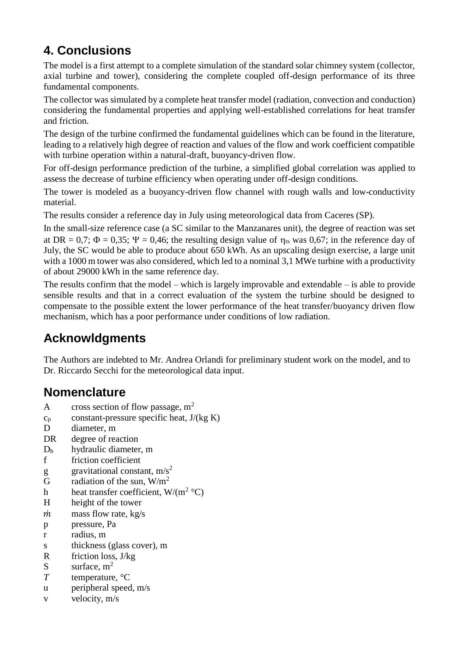# **4. Conclusions**

The model is a first attempt to a complete simulation of the standard solar chimney system (collector, axial turbine and tower), considering the complete coupled off-design performance of its three fundamental components.

The collector was simulated by a complete heat transfer model (radiation, convection and conduction) considering the fundamental properties and applying well-established correlations for heat transfer and friction.

The design of the turbine confirmed the fundamental guidelines which can be found in the literature, leading to a relatively high degree of reaction and values of the flow and work coefficient compatible with turbine operation within a natural-draft, buoyancy-driven flow.

For off-design performance prediction of the turbine, a simplified global correlation was applied to assess the decrease of turbine efficiency when operating under off-design conditions.

The tower is modeled as a buoyancy-driven flow channel with rough walls and low-conductivity material.

The results consider a reference day in July using meteorological data from Caceres (SP).

In the small-size reference case (a SC similar to the Manzanares unit), the degree of reaction was set at DR = 0,7;  $\Phi$  = 0,35;  $\Psi$  = 0,46; the resulting design value of  $\eta_{ts}$  was 0,67; in the reference day of July, the SC would be able to produce about 650 kWh. As an upscaling design exercise, a large unit with a 1000 m tower was also considered, which led to a nominal 3,1 MWe turbine with a productivity of about 29000 kWh in the same reference day.

The results confirm that the model – which is largely improvable and extendable – is able to provide sensible results and that in a correct evaluation of the system the turbine should be designed to compensate to the possible extent the lower performance of the heat transfer/buoyancy driven flow mechanism, which has a poor performance under conditions of low radiation.

## **Acknowldgments**

The Authors are indebted to Mr. Andrea Orlandi for preliminary student work on the model, and to Dr. Riccardo Secchi for the meteorological data input.

## **Nomenclature**

- A cross section of flow passage,  $m<sup>2</sup>$
- $c_p$  constant-pressure specific heat,  $J/(kg K)$
- D diameter, m
- DR degree of reaction
- D<sup>h</sup> hydraulic diameter, m
- f friction coefficient
- g gravitational constant,  $m/s^2$
- G radiation of the sun,  $W/m^2$
- h heat transfer coefficient,  $W/(m^2 °C)$
- H height of the tower
- $\dot{m}$  mass flow rate, kg/s
- p pressure, Pa
- r radius, m
- s thickness (glass cover), m
- R friction loss, J/kg
- S surface,  $m<sup>2</sup>$
- *T* temperature, °C
- u peripheral speed, m/s
- v velocity, m/s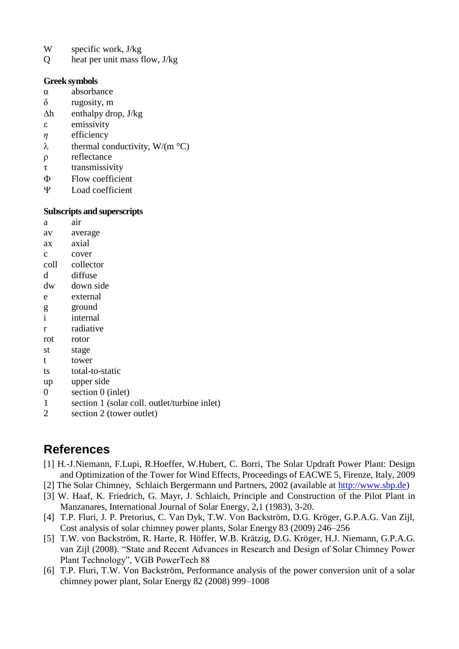- W specific work, J/kg
- Q heat per unit mass flow, J/kg

#### **Greek symbols**

- α absorbance
- δ rugosity, m
- $\Delta h$  enthalpy drop, J/kg
- ε emissivity
- *η* efficiency
- $\lambda$  thermal conductivity, W/(m  $^{\circ}$ C)
- ρ reflectance
- τ transmissivity
- Flow coefficient
- Load coefficient

### **Subscripts and superscripts**

a air av average ax axial c cover coll collector d diffuse dw down side e external g ground i internal r radiative rot rotor st stage

- t tower
- ts total-to-static
- up upper side
- 0 section 0 (inlet)
- 1 section 1 (solar coll. outlet/turbine inlet)
- 2 section 2 (tower outlet)

## **References**

- [1] H.-J.Niemann, F.Lupi, R.Hoeffer, W.Hubert, C. Borri, The Solar Updraft Power Plant: Design and Optimization of the Tower for Wind Effects, Proceedings of EACWE 5, Firenze, Italy, 2009
- [2] The Solar Chimney, Schlaich Bergermann und Partners, 2002 (available at [http://www.sbp.de\)](http://www.sbp.de/)
- [3] W. Haaf, K. Friedrich, G. Mayr, J. Schlaich, Principle and Construction of the Pilot Plant in Manzanares, International Journal of Solar Energy, 2,1 (1983), 3-20.
- [4] T.P. Fluri, J. P. Pretorius, C. Van Dyk, T.W. Von Backström, D.G. Kröger, G.P.A.G. Van Zijl, Cost analysis of solar chimney power plants, Solar Energy 83 (2009) 246–256
- [5] T.W. von Backström, R. Harte, R. Höffer, W.B. Krätzig, D.G. Kröger, H.J. Niemann, G.P.A.G. van Zijl (2008). "State and Recent Advances in Research and Design of Solar Chimney Power Plant Technology", VGB PowerTech 88
- [6] T.P. Fluri, T.W. Von Backström, Performance analysis of the power conversion unit of a solar chimney power plant, Solar Energy 82 (2008) 999–1008